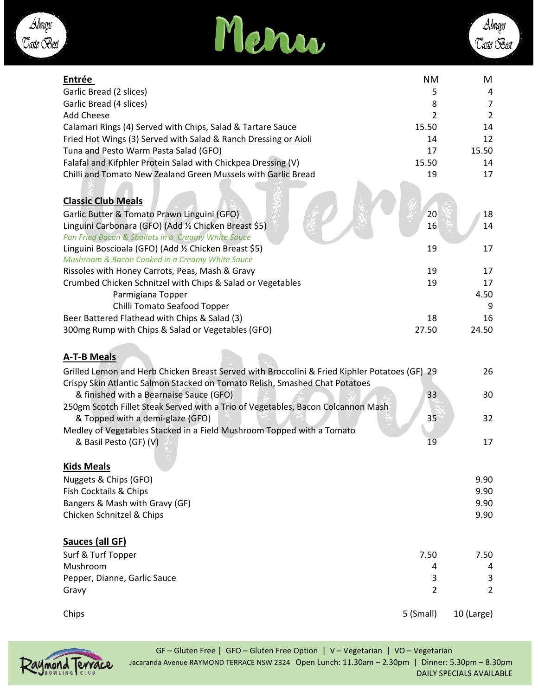



| Garlic Bread (2 slices)<br>5<br>Garlic Bread (4 slices)<br>8<br><b>Add Cheese</b><br>2<br>14<br>Calamari Rings (4) Served with Chips, Salad & Tartare Sauce<br>15.50<br>Fried Hot Wings (3) Served with Salad & Ranch Dressing or Aioli<br>12<br>14<br>Tuna and Pesto Warm Pasta Salad (GFO)<br>15.50<br>17<br>Falafal and Kifphler Protein Salad with Chickpea Dressing (V)<br>15.50<br>14<br>Chilli and Tomato New Zealand Green Mussels with Garlic Bread<br>19<br>17 |
|--------------------------------------------------------------------------------------------------------------------------------------------------------------------------------------------------------------------------------------------------------------------------------------------------------------------------------------------------------------------------------------------------------------------------------------------------------------------------|
|                                                                                                                                                                                                                                                                                                                                                                                                                                                                          |
|                                                                                                                                                                                                                                                                                                                                                                                                                                                                          |
|                                                                                                                                                                                                                                                                                                                                                                                                                                                                          |
|                                                                                                                                                                                                                                                                                                                                                                                                                                                                          |
|                                                                                                                                                                                                                                                                                                                                                                                                                                                                          |
|                                                                                                                                                                                                                                                                                                                                                                                                                                                                          |
|                                                                                                                                                                                                                                                                                                                                                                                                                                                                          |
| <b>Classic Club Meals</b><br>Garlic Butter & Tomato Prawn Linguini (GFO)<br>20<br>18<br>Linguini Carbonara (GFO) (Add 1/2 Chicken Breast \$5)<br>14<br>16                                                                                                                                                                                                                                                                                                                |
| Pan Fried Bacon & Shallots in a Creamy White Sauce                                                                                                                                                                                                                                                                                                                                                                                                                       |
| Linguini Boscioala (GFO) (Add 1/2 Chicken Breast \$5)<br>17<br>19                                                                                                                                                                                                                                                                                                                                                                                                        |
| Mushroom & Bacon Cooked in a Creamy White Sauce                                                                                                                                                                                                                                                                                                                                                                                                                          |
| 19<br>17<br>Rissoles with Honey Carrots, Peas, Mash & Gravy                                                                                                                                                                                                                                                                                                                                                                                                              |
| Crumbed Chicken Schnitzel with Chips & Salad or Vegetables<br>19<br>17                                                                                                                                                                                                                                                                                                                                                                                                   |
| Parmigiana Topper<br>4.50                                                                                                                                                                                                                                                                                                                                                                                                                                                |
| Chilli Tomato Seafood Topper                                                                                                                                                                                                                                                                                                                                                                                                                                             |
| Beer Battered Flathead with Chips & Salad (3)<br>18<br>16                                                                                                                                                                                                                                                                                                                                                                                                                |
| 300mg Rump with Chips & Salad or Vegetables (GFO)<br>27.50<br>24.50                                                                                                                                                                                                                                                                                                                                                                                                      |
| <b>A-T-B Meals</b><br>Grilled Lemon and Herb Chicken Breast Served with Broccolini & Fried Kiphler Potatoes (GF) 29<br>26<br>Crispy Skin Atlantic Salmon Stacked on Tomato Relish, Smashed Chat Potatoes<br>33<br>30<br>& finished with a Bearnaise Sauce (GFO)<br>250gm Scotch Fillet Steak Served with a Trio of Vegetables, Bacon Colcannon Mash                                                                                                                      |
| 35<br>32<br>& Topped with a demi-glaze (GFO)                                                                                                                                                                                                                                                                                                                                                                                                                             |
| Medley of Vegetables Stacked in a Field Mushroom Topped with a Tomato                                                                                                                                                                                                                                                                                                                                                                                                    |
| & Basil Pesto (GF) (V)<br>17<br>19                                                                                                                                                                                                                                                                                                                                                                                                                                       |
| <b>Kids Meals</b><br>Nuggets & Chips (GFO)<br>9.90<br>Fish Cocktails & Chips<br>9.90<br>Bangers & Mash with Gravy (GF)<br>9.90<br>Chicken Schnitzel & Chips<br>9.90                                                                                                                                                                                                                                                                                                      |
| Sauces (all GF)<br>Surf & Turf Topper<br>7.50<br>7.50<br>Mushroom<br>4<br>Pepper, Dianne, Garlic Sauce<br>3<br>$\overline{2}$<br>Gravy                                                                                                                                                                                                                                                                                                                                   |
| 5 (Small)<br>Chips<br>10 (Large)                                                                                                                                                                                                                                                                                                                                                                                                                                         |